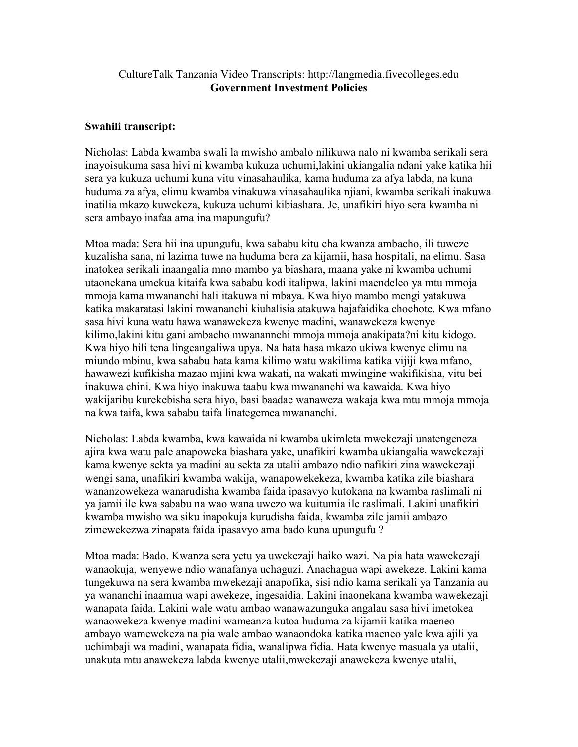## CultureTalk Tanzania Video Transcripts: http://langmedia.fivecolleges.edu Government Investment Policies

## Swahili transcript:

Nicholas: Labda kwamba swali la mwisho ambalo nilikuwa nalo ni kwamba serikali sera inayoisukuma sasa hivi ni kwamba kukuza uchumi,lakini ukiangalia ndani yake katika hii sera ya kukuza uchumi kuna vitu vinasahaulika, kama huduma za afya labda, na kuna huduma za afya, elimu kwamba vinakuwa vinasahaulika njiani, kwamba serikali inakuwa inatilia mkazo kuwekeza, kukuza uchumi kibiashara. Je, unafikiri hiyo sera kwamba ni sera ambayo inafaa ama ina mapungufu?

Mtoa mada: Sera hii ina upungufu, kwa sababu kitu cha kwanza ambacho, ili tuweze kuzalisha sana, ni lazima tuwe na huduma bora za kijamii, hasa hospitali, na elimu. Sasa inatokea serikali inaangalia mno mambo ya biashara, maana yake ni kwamba uchumi utaonekana umekua kitaifa kwa sababu kodi italipwa, lakini maendeleo ya mtu mmoja mmoja kama mwananchi hali itakuwa ni mbaya. Kwa hiyo mambo mengi yatakuwa katika makaratasi lakini mwananchi kiuhalisia atakuwa hajafaidika chochote. Kwa mfano sasa hivi kuna watu hawa wanawekeza kwenye madini, wanawekeza kwenye kilimo,lakini kitu gani ambacho mwanannchi mmoja mmoja anakipata?ni kitu kidogo. Kwa hiyo hili tena lingeangaliwa upya. Na hata hasa mkazo ukiwa kwenye elimu na miundo mbinu, kwa sababu hata kama kilimo watu wakilima katika vijiji kwa mfano, hawawezi kufikisha mazao mjini kwa wakati, na wakati mwingine wakifikisha, vitu bei inakuwa chini. Kwa hiyo inakuwa taabu kwa mwananchi wa kawaida. Kwa hiyo wakijaribu kurekebisha sera hiyo, basi baadae wanaweza wakaja kwa mtu mmoja mmoja na kwa taifa, kwa sababu taifa linategemea mwananchi.

Nicholas: Labda kwamba, kwa kawaida ni kwamba ukimleta mwekezaji unatengeneza ajira kwa watu pale anapoweka biashara yake, unafikiri kwamba ukiangalia wawekezaji kama kwenye sekta ya madini au sekta za utalii ambazo ndio nafikiri zina wawekezaji wengi sana, unafikiri kwamba wakija, wanapowekekeza, kwamba katika zile biashara wananzowekeza wanarudisha kwamba faida ipasavyo kutokana na kwamba raslimali ni ya jamii ile kwa sababu na wao wana uwezo wa kuitumia ile raslimali. Lakini unafikiri kwamba mwisho wa siku inapokuja kurudisha faida, kwamba zile jamii ambazo zimewekezwa zinapata faida ipasavyo ama bado kuna upungufu ?

Mtoa mada: Bado. Kwanza sera yetu ya uwekezaji haiko wazi. Na pia hata wawekezaji wanaokuja, wenyewe ndio wanafanya uchaguzi. Anachagua wapi awekeze. Lakini kama tungekuwa na sera kwamba mwekezaji anapofika, sisi ndio kama serikali ya Tanzania au ya wananchi inaamua wapi awekeze, ingesaidia. Lakini inaonekana kwamba wawekezaji wanapata faida. Lakini wale watu ambao wanawazunguka angalau sasa hivi imetokea wanaowekeza kwenye madini wameanza kutoa huduma za kijamii katika maeneo ambayo wamewekeza na pia wale ambao wanaondoka katika maeneo yale kwa ajili ya uchimbaji wa madini, wanapata fidia, wanalipwa fidia. Hata kwenye masuala ya utalii, unakuta mtu anawekeza labda kwenye utalii,mwekezaji anawekeza kwenye utalii,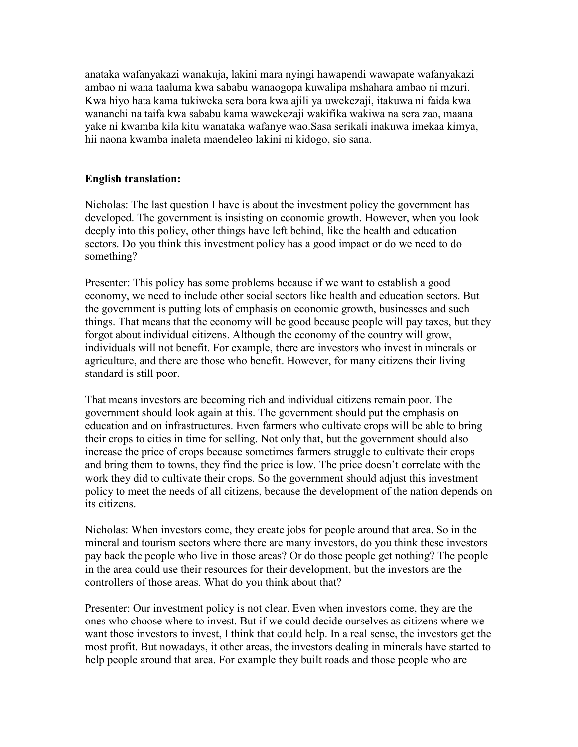anataka wafanyakazi wanakuja, lakini mara nyingi hawapendi wawapate wafanyakazi ambao ni wana taaluma kwa sababu wanaogopa kuwalipa mshahara ambao ni mzuri. Kwa hiyo hata kama tukiweka sera bora kwa ajili ya uwekezaji, itakuwa ni faida kwa wananchi na taifa kwa sababu kama wawekezaji wakifika wakiwa na sera zao, maana yake ni kwamba kila kitu wanataka wafanye wao.Sasa serikali inakuwa imekaa kimya, hii naona kwamba inaleta maendeleo lakini ni kidogo, sio sana.

## English translation:

Nicholas: The last question I have is about the investment policy the government has developed. The government is insisting on economic growth. However, when you look deeply into this policy, other things have left behind, like the health and education sectors. Do you think this investment policy has a good impact or do we need to do something?

Presenter: This policy has some problems because if we want to establish a good economy, we need to include other social sectors like health and education sectors. But the government is putting lots of emphasis on economic growth, businesses and such things. That means that the economy will be good because people will pay taxes, but they forgot about individual citizens. Although the economy of the country will grow, individuals will not benefit. For example, there are investors who invest in minerals or agriculture, and there are those who benefit. However, for many citizens their living standard is still poor.

That means investors are becoming rich and individual citizens remain poor. The government should look again at this. The government should put the emphasis on education and on infrastructures. Even farmers who cultivate crops will be able to bring their crops to cities in time for selling. Not only that, but the government should also increase the price of crops because sometimes farmers struggle to cultivate their crops and bring them to towns, they find the price is low. The price doesn't correlate with the work they did to cultivate their crops. So the government should adjust this investment policy to meet the needs of all citizens, because the development of the nation depends on its citizens.

Nicholas: When investors come, they create jobs for people around that area. So in the mineral and tourism sectors where there are many investors, do you think these investors pay back the people who live in those areas? Or do those people get nothing? The people in the area could use their resources for their development, but the investors are the controllers of those areas. What do you think about that?

Presenter: Our investment policy is not clear. Even when investors come, they are the ones who choose where to invest. But if we could decide ourselves as citizens where we want those investors to invest, I think that could help. In a real sense, the investors get the most profit. But nowadays, it other areas, the investors dealing in minerals have started to help people around that area. For example they built roads and those people who are